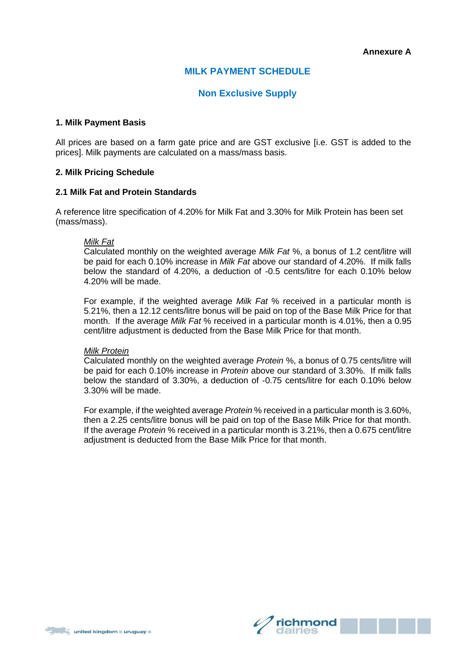# **MILK PAYMENT SCHEDULE**

# **Non Exclusive Supply**

### **1. Milk Payment Basis**

All prices are based on a farm gate price and are GST exclusive [i.e. GST is added to the prices]. Milk payments are calculated on a mass/mass basis.

# **2. Milk Pricing Schedule**

#### **2.1 Milk Fat and Protein Standards**

A reference litre specification of 4.20% for Milk Fat and 3.30% for Milk Protein has been set (mass/mass).

#### *Milk Fat*

Calculated monthly on the weighted average *Milk Fat* %, a bonus of 1.2 cent/litre will be paid for each 0.10% increase in *Milk Fat* above our standard of 4.20%. If milk falls below the standard of 4.20%, a deduction of -0.5 cents/litre for each 0.10% below 4.20% will be made.

For example, if the weighted average *Milk Fat* % received in a particular month is 5.21%, then a 12.12 cents/litre bonus will be paid on top of the Base Milk Price for that month. If the average *Milk Fat* % received in a particular month is 4.01%, then a 0.95 cent/litre adjustment is deducted from the Base Milk Price for that month.

#### *Milk Protein*

Calculated monthly on the weighted average *Protein* %, a bonus of 0.75 cents/litre will be paid for each 0.10% increase in *Protein* above our standard of 3.30%. If milk falls below the standard of 3.30%, a deduction of -0.75 cents/litre for each 0.10% below 3.30% will be made.

For example, if the weighted average *Protein* % received in a particular month is 3.60%, then a 2.25 cents/litre bonus will be paid on top of the Base Milk Price for that month. If the average *Protein* % received in a particular month is 3.21%, then a 0.675 cent/litre adjustment is deducted from the Base Milk Price for that month.

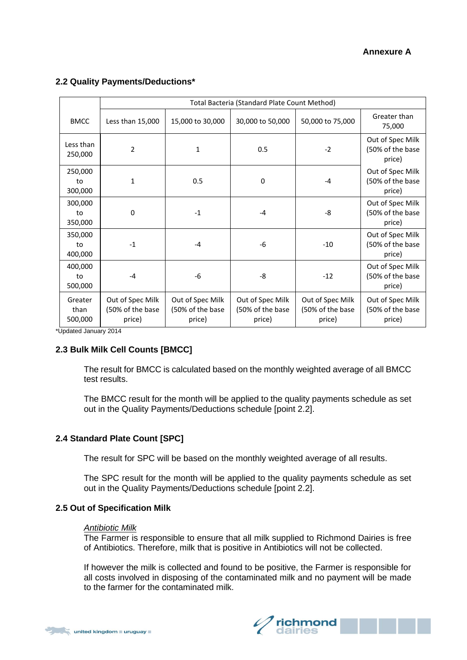# **Annexure A**

|                            | Total Bacteria (Standard Plate Count Method)   |                                                |                                                |                                                |                                                |  |  |  |  |
|----------------------------|------------------------------------------------|------------------------------------------------|------------------------------------------------|------------------------------------------------|------------------------------------------------|--|--|--|--|
| <b>BMCC</b>                | Less than 15,000                               | 15,000 to 30,000                               | 30,000 to 50,000                               | 50,000 to 75,000                               | Greater than<br>75,000                         |  |  |  |  |
| Less than<br>250,000       | $\overline{2}$                                 | 1                                              | 0.5                                            | $-2$                                           | Out of Spec Milk<br>(50% of the base<br>price) |  |  |  |  |
| 250,000<br>to<br>300,000   | 1                                              | 0.5                                            | 0                                              | $-4$                                           | Out of Spec Milk<br>(50% of the base<br>price) |  |  |  |  |
| 300,000<br>to<br>350,000   | $\mathbf 0$                                    | $-1$                                           | $-4$                                           | -8                                             | Out of Spec Milk<br>(50% of the base<br>price) |  |  |  |  |
| 350,000<br>to<br>400,000   | $-1$                                           | $-4$                                           | -6                                             | $-10$                                          | Out of Spec Milk<br>(50% of the base<br>price) |  |  |  |  |
| 400,000<br>to<br>500,000   | $-4$                                           | -6                                             | -8                                             | $-12$                                          | Out of Spec Milk<br>(50% of the base<br>price) |  |  |  |  |
| Greater<br>than<br>500,000 | Out of Spec Milk<br>(50% of the base<br>price) | Out of Spec Milk<br>(50% of the base<br>price) | Out of Spec Milk<br>(50% of the base<br>price) | Out of Spec Milk<br>(50% of the base<br>price) | Out of Spec Milk<br>(50% of the base<br>price) |  |  |  |  |

# **2.2 Quality Payments/Deductions\***

\*Updated January 2014

# **2.3 Bulk Milk Cell Counts [BMCC]**

The result for BMCC is calculated based on the monthly weighted average of all BMCC test results.

The BMCC result for the month will be applied to the quality payments schedule as set out in the Quality Payments/Deductions schedule [point 2.2].

# **2.4 Standard Plate Count [SPC]**

The result for SPC will be based on the monthly weighted average of all results.

The SPC result for the month will be applied to the quality payments schedule as set out in the Quality Payments/Deductions schedule [point 2.2].

#### **2.5 Out of Specification Milk**

#### *Antibiotic Milk*

The Farmer is responsible to ensure that all milk supplied to Richmond Dairies is free of Antibiotics. Therefore, milk that is positive in Antibiotics will not be collected.

If however the milk is collected and found to be positive, the Farmer is responsible for all costs involved in disposing of the contaminated milk and no payment will be made to the farmer for the contaminated milk.



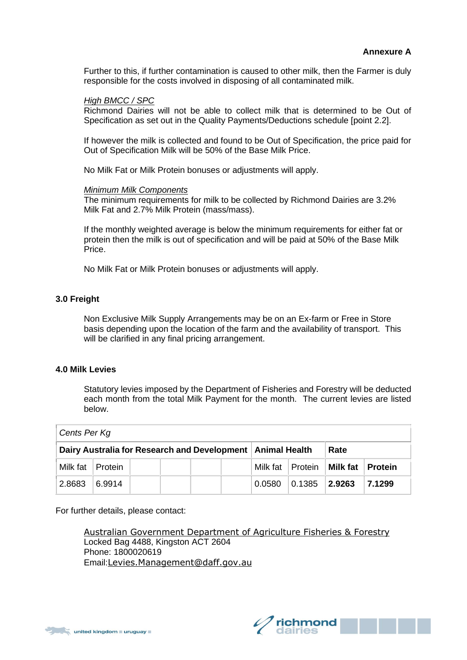Further to this, if further contamination is caused to other milk, then the Farmer is duly responsible for the costs involved in disposing of all contaminated milk.

# *High BMCC / SPC*

Richmond Dairies will not be able to collect milk that is determined to be Out of Specification as set out in the Quality Payments/Deductions schedule [point 2.2].

If however the milk is collected and found to be Out of Specification, the price paid for Out of Specification Milk will be 50% of the Base Milk Price.

No Milk Fat or Milk Protein bonuses or adjustments will apply.

#### *Minimum Milk Components*

The minimum requirements for milk to be collected by Richmond Dairies are 3.2% Milk Fat and 2.7% Milk Protein (mass/mass).

If the monthly weighted average is below the minimum requirements for either fat or protein then the milk is out of specification and will be paid at 50% of the Base Milk Price.

No Milk Fat or Milk Protein bonuses or adjustments will apply.

# **3.0 Freight**

Non Exclusive Milk Supply Arrangements may be on an Ex-farm or Free in Store basis depending upon the location of the farm and the availability of transport. This will be clarified in any final pricing arrangement.

#### **4.0 Milk Levies**

Statutory levies imposed by the Department of Fisheries and Forestry will be deducted each month from the total Milk Payment for the month. The current levies are listed below.

| Cents Per Kg       |        |                                                              |  |        |                   |                               |                  |  |  |  |  |
|--------------------|--------|--------------------------------------------------------------|--|--------|-------------------|-------------------------------|------------------|--|--|--|--|
|                    |        | Dairy Australia for Research and Development   Animal Health |  | Rate   |                   |                               |                  |  |  |  |  |
| Milk fat   Protein |        |                                                              |  |        |                   | Milk fat   Protein   Milk fat | <b>∣ Protein</b> |  |  |  |  |
| 2.8683             | 6.9914 |                                                              |  | 0.0580 | $ 0.1385 $ 2.9263 |                               | 7.1299           |  |  |  |  |

For further details, please contact:

[Australian Government Department of Agriculture Fisheries & Forestry](http://www.daff.gov.au/levies)  Locked Bag 4488, Kingston ACT 2604 Phone: 1800020619 Email:[Levies.Management@daff.gov.au](mailto:Levies.Management@daff.gov.au)

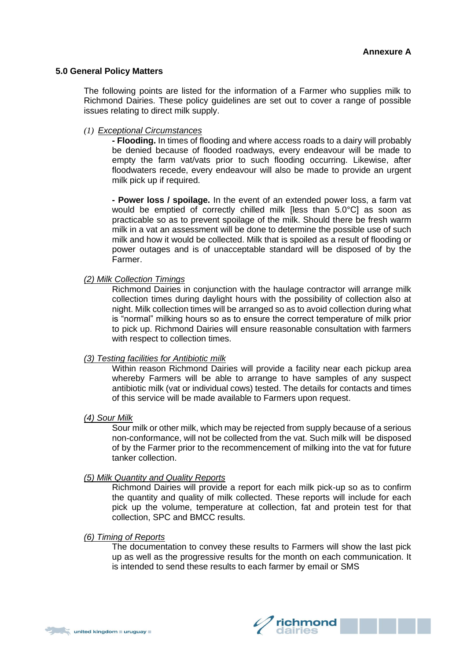#### **5.0 General Policy Matters**

The following points are listed for the information of a Farmer who supplies milk to Richmond Dairies. These policy guidelines are set out to cover a range of possible issues relating to direct milk supply.

### *(1) Exceptional Circumstances*

**- Flooding.** In times of flooding and where access roads to a dairy will probably be denied because of flooded roadways, every endeavour will be made to empty the farm vat/vats prior to such flooding occurring. Likewise, after floodwaters recede, every endeavour will also be made to provide an urgent milk pick up if required.

**- Power loss / spoilage.** In the event of an extended power loss, a farm vat would be emptied of correctly chilled milk [less than 5.0°C] as soon as practicable so as to prevent spoilage of the milk. Should there be fresh warm milk in a vat an assessment will be done to determine the possible use of such milk and how it would be collected. Milk that is spoiled as a result of flooding or power outages and is of unacceptable standard will be disposed of by the Farmer.

# *(2) Milk Collection Timings*

Richmond Dairies in conjunction with the haulage contractor will arrange milk collection times during daylight hours with the possibility of collection also at night. Milk collection times will be arranged so as to avoid collection during what is "normal" milking hours so as to ensure the correct temperature of milk prior to pick up. Richmond Dairies will ensure reasonable consultation with farmers with respect to collection times.

#### *(3) Testing facilities for Antibiotic milk*

Within reason Richmond Dairies will provide a facility near each pickup area whereby Farmers will be able to arrange to have samples of any suspect antibiotic milk (vat or individual cows) tested. The details for contacts and times of this service will be made available to Farmers upon request.

#### *(4) Sour Milk*

Sour milk or other milk, which may be rejected from supply because of a serious non-conformance, will not be collected from the vat. Such milk will be disposed of by the Farmer prior to the recommencement of milking into the vat for future tanker collection.

#### *(5) Milk Quantity and Quality Reports*

Richmond Dairies will provide a report for each milk pick-up so as to confirm the quantity and quality of milk collected. These reports will include for each pick up the volume, temperature at collection, fat and protein test for that collection, SPC and BMCC results.

#### *(6) Timing of Reports*

The documentation to convey these results to Farmers will show the last pick up as well as the progressive results for the month on each communication. It is intended to send these results to each farmer by email or SMS